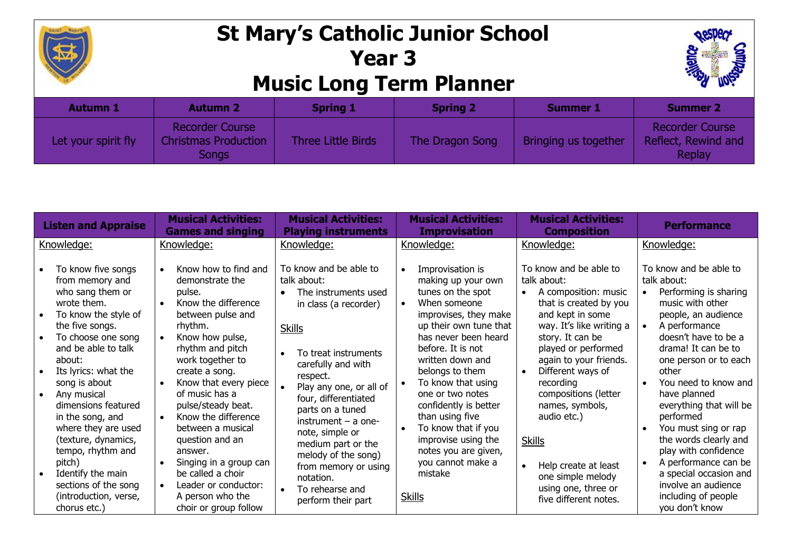

## **St Mary's Catholic Junior School Year 3 Music Long Term Planner**



| <b>Autumn 1</b>     | <b>Autumn 2</b>                                                | <b>Spring 1</b>           | <b>Spring 2</b> | <b>Summer 1</b>      | <b>Summer 2</b>                                         |
|---------------------|----------------------------------------------------------------|---------------------------|-----------------|----------------------|---------------------------------------------------------|
| Let your spirit fly | <b>Recorder Course</b><br><b>Christmas Production</b><br>Songs | <b>Three Little Birds</b> | The Dragon Song | Bringing us together | <b>Recorder Course</b><br>Reflect, Rewind and<br>Replay |

| <b>Listen and Appraise</b>                                                                                                                                                                                                                                                                                                                                                                                                                                                              | <b>Musical Activities:</b><br><b>Games and singing</b>                                                                                                                                                                                                                                                                                                                                                                                               | <b>Musical Activities:</b><br><b>Playing instruments</b>                                                                                                                                                                                                                                                                                                                                                        | <b>Musical Activities:</b><br><b>Improvisation</b>                                                                                                                                                                                                                                                                                                                                                                                                                                  | <b>Musical Activities:</b><br><b>Composition</b>                                                                                                                                                                                                                                                                                                                                                                                                 | <b>Performance</b>                                                                                                                                                                                                                                                                                                                                                                                                                                                                                  |
|-----------------------------------------------------------------------------------------------------------------------------------------------------------------------------------------------------------------------------------------------------------------------------------------------------------------------------------------------------------------------------------------------------------------------------------------------------------------------------------------|------------------------------------------------------------------------------------------------------------------------------------------------------------------------------------------------------------------------------------------------------------------------------------------------------------------------------------------------------------------------------------------------------------------------------------------------------|-----------------------------------------------------------------------------------------------------------------------------------------------------------------------------------------------------------------------------------------------------------------------------------------------------------------------------------------------------------------------------------------------------------------|-------------------------------------------------------------------------------------------------------------------------------------------------------------------------------------------------------------------------------------------------------------------------------------------------------------------------------------------------------------------------------------------------------------------------------------------------------------------------------------|--------------------------------------------------------------------------------------------------------------------------------------------------------------------------------------------------------------------------------------------------------------------------------------------------------------------------------------------------------------------------------------------------------------------------------------------------|-----------------------------------------------------------------------------------------------------------------------------------------------------------------------------------------------------------------------------------------------------------------------------------------------------------------------------------------------------------------------------------------------------------------------------------------------------------------------------------------------------|
| Knowledge:                                                                                                                                                                                                                                                                                                                                                                                                                                                                              | Knowledge:                                                                                                                                                                                                                                                                                                                                                                                                                                           | Knowledge:                                                                                                                                                                                                                                                                                                                                                                                                      | Knowledge:                                                                                                                                                                                                                                                                                                                                                                                                                                                                          | Knowledge:                                                                                                                                                                                                                                                                                                                                                                                                                                       | Knowledge:                                                                                                                                                                                                                                                                                                                                                                                                                                                                                          |
| To know five songs<br>from memory and<br>who sang them or<br>wrote them.<br>To know the style of<br>$\bullet$<br>the five songs.<br>To choose one song<br>and be able to talk<br>about:<br>Its lyrics: what the<br>song is about<br>Any musical<br>$\bullet$<br>dimensions featured<br>in the song, and<br>where they are used<br>(texture, dynamics,<br>tempo, rhythm and<br>pitch)<br>Identify the main<br>$\bullet$<br>sections of the song<br>(introduction, verse,<br>chorus etc.) | Know how to find and<br>demonstrate the<br>pulse.<br>Know the difference<br>between pulse and<br>rhythm.<br>Know how pulse,<br>rhythm and pitch<br>work together to<br>create a song.<br>Know that every piece<br>of music has a<br>pulse/steady beat.<br>Know the difference<br>between a musical<br>question and an<br>answer.<br>Singing in a group can<br>be called a choir<br>Leader or conductor:<br>A person who the<br>choir or group follow | To know and be able to<br>talk about:<br>The instruments used<br>in class (a recorder)<br><b>Skills</b><br>To treat instruments<br>carefully and with<br>respect.<br>Play any one, or all of<br>four, differentiated<br>parts on a tuned<br>instrument $-$ a one-<br>note, simple or<br>medium part or the<br>melody of the song)<br>from memory or using<br>notation.<br>To rehearse and<br>perform their part | Improvisation is<br>$\bullet$<br>making up your own<br>tunes on the spot<br>When someone<br>$\bullet$<br>improvises, they make<br>up their own tune that<br>has never been heard<br>before. It is not<br>written down and<br>belongs to them<br>To know that using<br>$\bullet$<br>one or two notes<br>confidently is better<br>than using five<br>To know that if you<br>$\bullet$<br>improvise using the<br>notes you are given,<br>you cannot make a<br>mistake<br><b>Skills</b> | To know and be able to<br>talk about:<br>A composition: music<br>that is created by you<br>and kept in some<br>way. It's like writing a<br>story. It can be<br>played or performed<br>again to your friends.<br>Different ways of<br>$\bullet$<br>recording<br>compositions (letter<br>names, symbols,<br>audio etc.)<br><b>Skills</b><br>Help create at least<br>$\bullet$<br>one simple melody<br>using one, three or<br>five different notes. | To know and be able to<br>talk about:<br>Performing is sharing<br>$\bullet$<br>music with other<br>people, an audience<br>A performance<br>doesn't have to be a<br>drama! It can be to<br>one person or to each<br>other<br>You need to know and<br>have planned<br>everything that will be<br>performed<br>You must sing or rap<br>the words clearly and<br>play with confidence<br>A performance can be<br>a special occasion and<br>involve an audience<br>including of people<br>you don't know |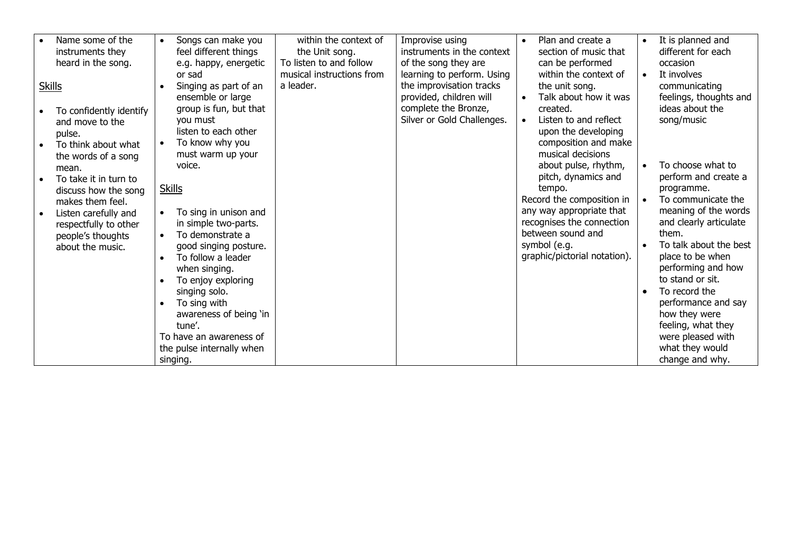| Name some of the<br>instruments they<br>heard in the song.                                                          | $\bullet$ | Songs can make you<br>feel different things<br>e.g. happy, energetic<br>or sad                                                                   | within the context of<br>the Unit song.<br>To listen to and follow<br>musical instructions from | Improvise using<br>instruments in the context<br>of the song they are<br>learning to perform. Using       | Plan and create a<br>section of music that<br>can be performed<br>within the context of                                                          | $\bullet$<br>$\bullet$ | It is planned and<br>different for each<br>occasion<br>It involves                                    |
|---------------------------------------------------------------------------------------------------------------------|-----------|--------------------------------------------------------------------------------------------------------------------------------------------------|-------------------------------------------------------------------------------------------------|-----------------------------------------------------------------------------------------------------------|--------------------------------------------------------------------------------------------------------------------------------------------------|------------------------|-------------------------------------------------------------------------------------------------------|
| <b>Skills</b><br>To confidently identify<br>and move to the<br>pulse.<br>To think about what<br>the words of a song |           | Singing as part of an<br>ensemble or large<br>group is fun, but that<br>you must<br>listen to each other<br>To know why you<br>must warm up your | a leader.                                                                                       | the improvisation tracks<br>provided, children will<br>complete the Bronze,<br>Silver or Gold Challenges. | the unit song.<br>Talk about how it was<br>created.<br>Listen to and reflect<br>upon the developing<br>composition and make<br>musical decisions |                        | communicating<br>feelings, thoughts and<br>ideas about the<br>song/music                              |
| mean.<br>To take it in turn to<br>discuss how the song<br>makes them feel.                                          |           | voice.<br><b>Skills</b>                                                                                                                          |                                                                                                 |                                                                                                           | about pulse, rhythm,<br>pitch, dynamics and<br>tempo.<br>Record the composition in                                                               |                        | To choose what to<br>perform and create a<br>programme.<br>To communicate the                         |
| Listen carefully and<br>respectfully to other<br>people's thoughts<br>about the music.                              |           | To sing in unison and<br>in simple two-parts.<br>To demonstrate a<br>good singing posture.<br>To follow a leader                                 |                                                                                                 |                                                                                                           | any way appropriate that<br>recognises the connection<br>between sound and<br>symbol (e.g.<br>graphic/pictorial notation).                       |                        | meaning of the words<br>and clearly articulate<br>them.<br>To talk about the best<br>place to be when |
|                                                                                                                     |           | when singing.<br>To enjoy exploring<br>singing solo.<br>To sing with<br>awareness of being 'in                                                   |                                                                                                 |                                                                                                           |                                                                                                                                                  |                        | performing and how<br>to stand or sit.<br>To record the<br>performance and say<br>how they were       |
|                                                                                                                     |           | tune'.<br>To have an awareness of<br>the pulse internally when<br>singing.                                                                       |                                                                                                 |                                                                                                           |                                                                                                                                                  |                        | feeling, what they<br>were pleased with<br>what they would<br>change and why.                         |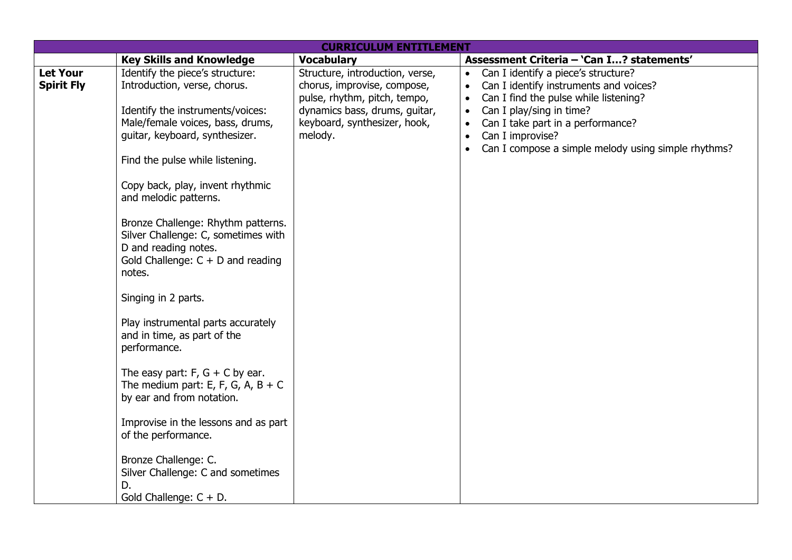|                                      |                                                                                                                                                                                                        | <b>CURRICULUM ENTITLEMENT</b>                                                                  |                                                                                                                                                                                              |
|--------------------------------------|--------------------------------------------------------------------------------------------------------------------------------------------------------------------------------------------------------|------------------------------------------------------------------------------------------------|----------------------------------------------------------------------------------------------------------------------------------------------------------------------------------------------|
|                                      | <b>Key Skills and Knowledge</b>                                                                                                                                                                        | <b>Vocabulary</b>                                                                              | Assessment Criteria - 'Can I? statements'                                                                                                                                                    |
| <b>Let Your</b><br><b>Spirit Fly</b> | Identify the piece's structure:<br>Introduction, verse, chorus.                                                                                                                                        | Structure, introduction, verse,<br>chorus, improvise, compose,<br>pulse, rhythm, pitch, tempo, | Can I identify a piece's structure?<br>$\bullet$<br>Can I identify instruments and voices?<br>$\bullet$<br>Can I find the pulse while listening?<br>$\bullet$                                |
|                                      | Identify the instruments/voices:<br>Male/female voices, bass, drums,<br>guitar, keyboard, synthesizer.<br>Find the pulse while listening.<br>Copy back, play, invent rhythmic<br>and melodic patterns. | dynamics bass, drums, guitar,<br>keyboard, synthesizer, hook,<br>melody.                       | Can I play/sing in time?<br>$\bullet$<br>Can I take part in a performance?<br>$\bullet$<br>Can I improvise?<br>$\bullet$<br>Can I compose a simple melody using simple rhythms?<br>$\bullet$ |
|                                      | Bronze Challenge: Rhythm patterns.<br>Silver Challenge: C, sometimes with<br>D and reading notes.<br>Gold Challenge: $C + D$ and reading<br>notes.                                                     |                                                                                                |                                                                                                                                                                                              |
|                                      | Singing in 2 parts.<br>Play instrumental parts accurately<br>and in time, as part of the<br>performance.                                                                                               |                                                                                                |                                                                                                                                                                                              |
|                                      | The easy part: $F$ , $G$ + C by ear.<br>The medium part: E, F, G, A, B + C<br>by ear and from notation.                                                                                                |                                                                                                |                                                                                                                                                                                              |
|                                      | Improvise in the lessons and as part<br>of the performance.                                                                                                                                            |                                                                                                |                                                                                                                                                                                              |
|                                      | Bronze Challenge: C.<br>Silver Challenge: C and sometimes<br>D.<br>Gold Challenge: $C + D$ .                                                                                                           |                                                                                                |                                                                                                                                                                                              |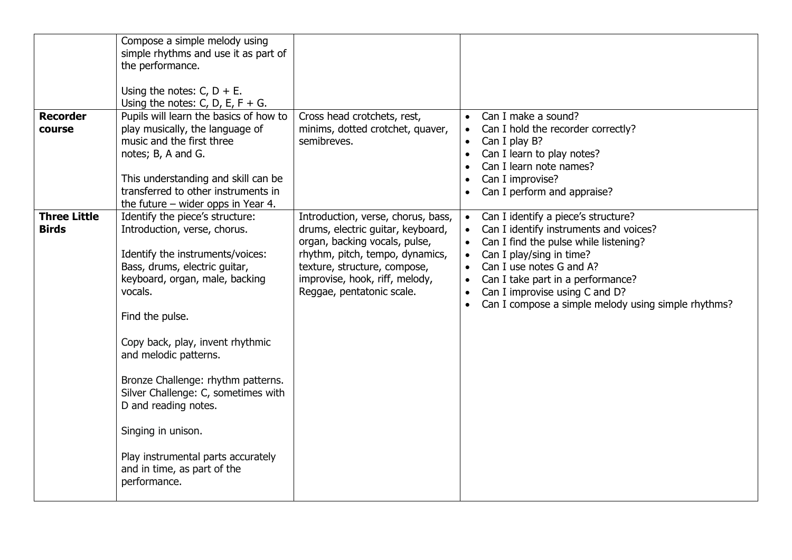|                     | Compose a simple melody using                                           |                                    |                                                                  |
|---------------------|-------------------------------------------------------------------------|------------------------------------|------------------------------------------------------------------|
|                     | simple rhythms and use it as part of                                    |                                    |                                                                  |
|                     | the performance.                                                        |                                    |                                                                  |
|                     | Using the notes: $C$ , $D + E$ .                                        |                                    |                                                                  |
|                     | Using the notes: C, D, E, F + G.                                        |                                    |                                                                  |
| <b>Recorder</b>     | Pupils will learn the basics of how to                                  | Cross head crotchets, rest,        | Can I make a sound?                                              |
| course              | play musically, the language of                                         | minims, dotted crotchet, quaver,   | Can I hold the recorder correctly?                               |
|                     | music and the first three                                               | semibreves.                        | Can I play B?                                                    |
|                     | notes; B, A and G.                                                      |                                    | Can I learn to play notes?                                       |
|                     |                                                                         |                                    | Can I learn note names?                                          |
|                     | This understanding and skill can be                                     |                                    | Can I improvise?                                                 |
|                     | transferred to other instruments in                                     |                                    | Can I perform and appraise?                                      |
| <b>Three Little</b> | the future $-$ wider opps in Year 4.<br>Identify the piece's structure: | Introduction, verse, chorus, bass, | Can I identify a piece's structure?<br>$\bullet$                 |
| <b>Birds</b>        | Introduction, verse, chorus.                                            | drums, electric guitar, keyboard,  | Can I identify instruments and voices?                           |
|                     |                                                                         | organ, backing vocals, pulse,      | Can I find the pulse while listening?<br>$\bullet$               |
|                     | Identify the instruments/voices:                                        | rhythm, pitch, tempo, dynamics,    | Can I play/sing in time?<br>$\bullet$                            |
|                     | Bass, drums, electric guitar,                                           | texture, structure, compose,       | Can I use notes G and A?                                         |
|                     | keyboard, organ, male, backing                                          | improvise, hook, riff, melody,     | Can I take part in a performance?                                |
|                     | vocals.                                                                 | Reggae, pentatonic scale.          | Can I improvise using C and D?                                   |
|                     |                                                                         |                                    | Can I compose a simple melody using simple rhythms?<br>$\bullet$ |
|                     | Find the pulse.                                                         |                                    |                                                                  |
|                     | Copy back, play, invent rhythmic                                        |                                    |                                                                  |
|                     | and melodic patterns.                                                   |                                    |                                                                  |
|                     | Bronze Challenge: rhythm patterns.                                      |                                    |                                                                  |
|                     | Silver Challenge: C, sometimes with                                     |                                    |                                                                  |
|                     | D and reading notes.                                                    |                                    |                                                                  |
|                     | Singing in unison.                                                      |                                    |                                                                  |
|                     |                                                                         |                                    |                                                                  |
|                     | Play instrumental parts accurately                                      |                                    |                                                                  |
|                     | and in time, as part of the                                             |                                    |                                                                  |
|                     | performance.                                                            |                                    |                                                                  |
|                     |                                                                         |                                    |                                                                  |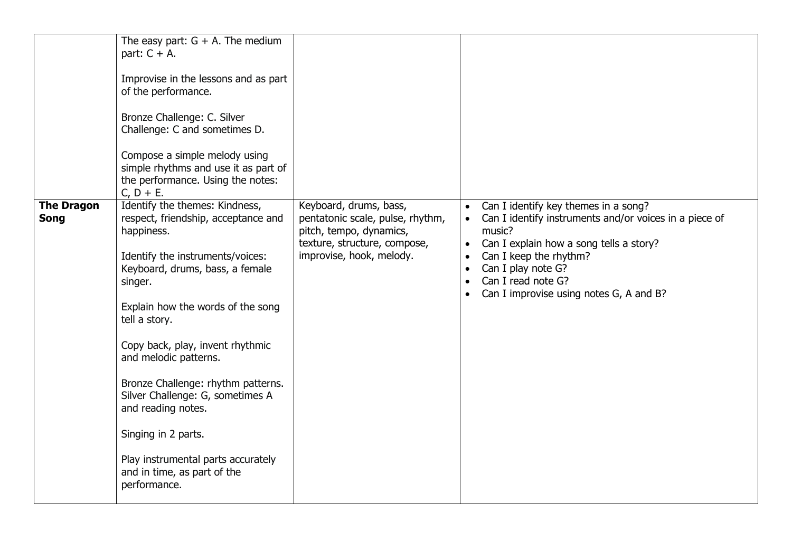|                                  | The easy part: $G + A$ . The medium<br>part: $C + A$ .<br>Improvise in the lessons and as part<br>of the performance.<br>Bronze Challenge: C. Silver<br>Challenge: C and sometimes D.<br>Compose a simple melody using<br>simple rhythms and use it as part of<br>the performance. Using the notes:<br>$C, D + E.$                                                                                                                                                                                   |                                                                                                                                                   |                                                                                                                                                                                                                                                                                                                                                    |
|----------------------------------|------------------------------------------------------------------------------------------------------------------------------------------------------------------------------------------------------------------------------------------------------------------------------------------------------------------------------------------------------------------------------------------------------------------------------------------------------------------------------------------------------|---------------------------------------------------------------------------------------------------------------------------------------------------|----------------------------------------------------------------------------------------------------------------------------------------------------------------------------------------------------------------------------------------------------------------------------------------------------------------------------------------------------|
| <b>The Dragon</b><br><b>Song</b> | Identify the themes: Kindness,<br>respect, friendship, acceptance and<br>happiness.<br>Identify the instruments/voices:<br>Keyboard, drums, bass, a female<br>singer.<br>Explain how the words of the song<br>tell a story.<br>Copy back, play, invent rhythmic<br>and melodic patterns.<br>Bronze Challenge: rhythm patterns.<br>Silver Challenge: G, sometimes A<br>and reading notes.<br>Singing in 2 parts.<br>Play instrumental parts accurately<br>and in time, as part of the<br>performance. | Keyboard, drums, bass,<br>pentatonic scale, pulse, rhythm,<br>pitch, tempo, dynamics,<br>texture, structure, compose,<br>improvise, hook, melody. | Can I identify key themes in a song?<br>$\bullet$<br>Can I identify instruments and/or voices in a piece of<br>music?<br>Can I explain how a song tells a story?<br>$\bullet$<br>Can I keep the rhythm?<br>$\bullet$<br>Can I play note G?<br>$\bullet$<br>Can I read note G?<br>$\bullet$<br>Can I improvise using notes G, A and B?<br>$\bullet$ |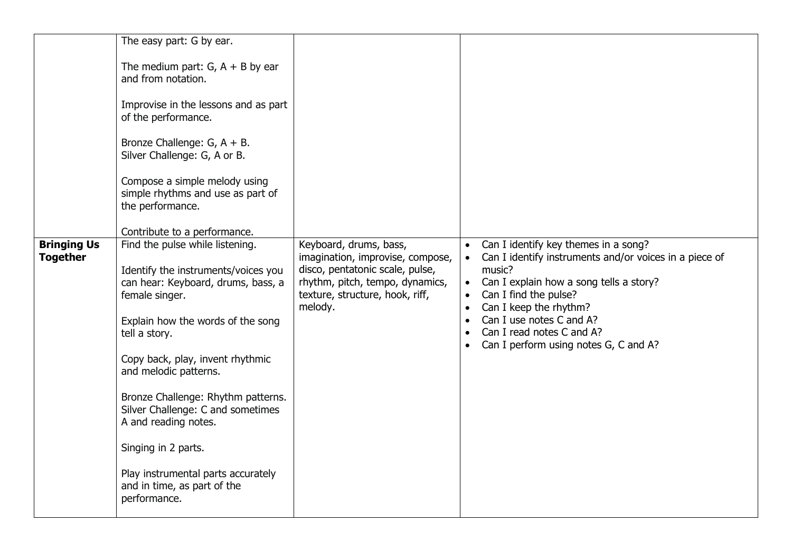|                                       | The easy part: G by ear.<br>The medium part: $G$ , $A + B$ by ear<br>and from notation.<br>Improvise in the lessons and as part<br>of the performance.<br>Bronze Challenge: G, A + B.<br>Silver Challenge: G, A or B.<br>Compose a simple melody using<br>simple rhythms and use as part of<br>the performance.<br>Contribute to a performance.                                                                                                                  |                                                                                                                                                                                |                                                                                                                                                                                                                                                                                                                                                              |
|---------------------------------------|------------------------------------------------------------------------------------------------------------------------------------------------------------------------------------------------------------------------------------------------------------------------------------------------------------------------------------------------------------------------------------------------------------------------------------------------------------------|--------------------------------------------------------------------------------------------------------------------------------------------------------------------------------|--------------------------------------------------------------------------------------------------------------------------------------------------------------------------------------------------------------------------------------------------------------------------------------------------------------------------------------------------------------|
| <b>Bringing Us</b><br><b>Together</b> | Find the pulse while listening.<br>Identify the instruments/voices you<br>can hear: Keyboard, drums, bass, a<br>female singer.<br>Explain how the words of the song<br>tell a story.<br>Copy back, play, invent rhythmic<br>and melodic patterns.<br>Bronze Challenge: Rhythm patterns.<br>Silver Challenge: C and sometimes<br>A and reading notes.<br>Singing in 2 parts.<br>Play instrumental parts accurately<br>and in time, as part of the<br>performance. | Keyboard, drums, bass,<br>imagination, improvise, compose,<br>disco, pentatonic scale, pulse,<br>rhythm, pitch, tempo, dynamics,<br>texture, structure, hook, riff,<br>melody. | Can I identify key themes in a song?<br>$\bullet$<br>Can I identify instruments and/or voices in a piece of<br>music?<br>Can I explain how a song tells a story?<br>$\bullet$<br>Can I find the pulse?<br>$\bullet$<br>Can I keep the rhythm?<br>Can I use notes C and A?<br>Can I read notes C and A?<br>$\bullet$<br>Can I perform using notes G, C and A? |